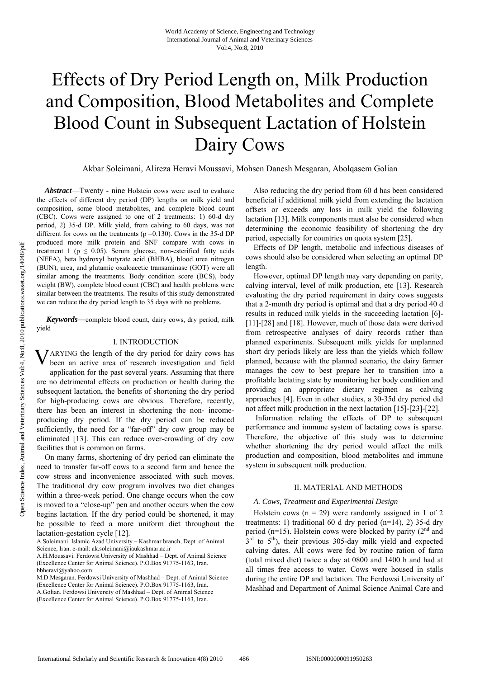# Effects of Dry Period Length on, Milk Production and Composition, Blood Metabolites and Complete Blood Count in Subsequent Lactation of Holstein Dairy Cows

Akbar Soleimani, Alireza Heravi Moussavi, Mohsen Danesh Mesgaran, Abolqasem Golian

*Abstract*—Twenty - nine Holstein cows were used to evaluate the effects of different dry period (DP) lengths on milk yield and composition, some blood metabolites, and complete blood count (CBC). Cows were assigned to one of 2 treatments: 1) 60-d dry period, 2) 35-d DP. Milk yield, from calving to 60 days, was not different for cows on the treatments ( $p = 0.130$ ). Cows in the 35-d DP produced more milk protein and SNF compare with cows in treatment 1 ( $p \le 0.05$ ). Serum glucose, non-esterified fatty acids (NEFA), beta hydroxyl butyrate acid (BHBA), blood urea nitrogen (BUN), urea, and glutamic oxaloacetic transaminase (GOT) were all similar among the treatments. Body condition score (BCS), body weight (BW), complete blood count (CBC) and health problems were similar between the treatments. The results of this study demonstrated we can reduce the dry period length to 35 days with no problems.

*Keywords*—complete blood count, dairy cows, dry period, milk yield

## I. INTRODUCTION

**V**ARYING the length of the dry period for dairy cows has been an active area of research investigation and field been an active area of research investigation and field application for the past several years. Assuming that there are no detrimental effects on production or health during the subsequent lactation, the benefits of shortening the dry period for high-producing cows are obvious. Therefore, recently, there has been an interest in shortening the non- incomeproducing dry period. If the dry period can be reduced sufficiently, the need for a "far-off" dry cow group may be eliminated [13]. This can reduce over-crowding of dry cow facilities that is common on farms.

On many farms, shortening of dry period can eliminate the need to transfer far-off cows to a second farm and hence the cow stress and inconvenience associated with such moves. The traditional dry cow program involves two diet changes within a three-week period. One change occurs when the cow is moved to a "close-up" pen and another occurs when the cow begins lactation. If the dry period could be shortened, it may be possible to feed a more uniform diet throughout the lactation-gestation cycle [12].

A.H.Moussavi. Ferdowsi University of Mashhad – Dept. of Animal Science (Excellence Center for Animal Science). P.O.Box 91775-1163, Iran. bbheravi@yahoo.com

M.D.Mesgaran. Ferdowsi University of Mashhad – Dept. of Animal Science (Excellence Center for Animal Science). P.O.Box 91775-1163, Iran. A.Golian. Ferdowsi University of Mashhad – Dept. of Animal Science (Excellence Center for Animal Science). P.O.Box 91775-1163, Iran.

Also reducing the dry period from 60 d has been considered beneficial if additional milk yield from extending the lactation offsets or exceeds any loss in milk yield the following lactation [13]. Milk components must also be considered when determining the economic feasibility of shortening the dry period, especially for countries on quota system [25].

Effects of DP length, metabolic and infectious diseases of cows should also be considered when selecting an optimal DP length.

However, optimal DP length may vary depending on parity, calving interval, level of milk production, etc [13]. Research evaluating the dry period requirement in dairy cows suggests that a 2-month dry period is optimal and that a dry period 40 d results in reduced milk yields in the succeeding lactation [6]- [11]-[28] and [18]. However, much of those data were derived from retrospective analyses of dairy records rather than planned experiments. Subsequent milk yields for unplanned short dry periods likely are less than the yields which follow planned, because with the planned scenario, the dairy farmer manages the cow to best prepare her to transition into a profitable lactating state by monitoring her body condition and providing an appropriate dietary regimen as calving approaches [4]. Even in other studies, a 30-35d dry period did not affect milk production in the next lactation [15]-[23]-[22].

 Information relating the effects of DP to subsequent performance and immune system of lactating cows is sparse. Therefore, the objective of this study was to determine whether shortening the dry period would affect the milk production and composition, blood metabolites and immune system in subsequent milk production.

#### II. MATERIAL AND METHODS

### *A. Cows, Treatment and Experimental Design*

Holstein cows ( $n = 29$ ) were randomly assigned in 1 of 2 treatments: 1) traditional 60 d dry period  $(n=14)$ , 2) 35-d dry period ( $n=15$ ). Holstein cows were blocked by parity ( $2<sup>nd</sup>$  and  $3<sup>rd</sup>$  to  $5<sup>th</sup>$ ), their previous 305-day milk yield and expected calving dates. All cows were fed by routine ration of farm (total mixed diet) twice a day at 0800 and 1400 h and had at all times free access to water. Cows were housed in stalls during the entire DP and lactation. The Ferdowsi University of Mashhad and Department of Animal Science Animal Care and

A.Soleimani. Islamic Azad University – Kashmar branch, Dept. of Animal Science, Iran. e-mail: ak.soleimani@iaukashmar.ac.ir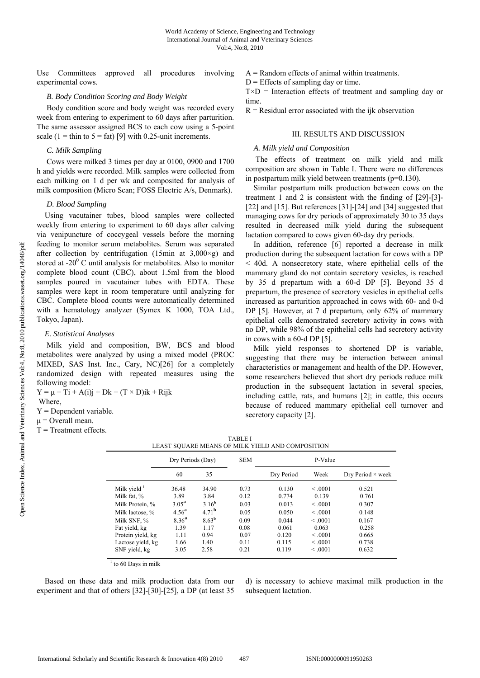Use Committees approved all procedures involving experimental cows.

### *B. Body Condition Scoring and Body Weight*

Body condition score and body weight was recorded every week from entering to experiment to 60 days after parturition. The same assessor assigned BCS to each cow using a 5-point scale (1 = thin to  $5 = \text{fat}$ ) [9] with 0.25-unit increments.

## *C. Milk Sampling*

Cows were milked 3 times per day at 0100, 0900 and 1700 h and yields were recorded. Milk samples were collected from each milking on 1 d per wk and composited for analysis of milk composition (Micro Scan; FOSS Electric A/s, Denmark).

#### *D. Blood Sampling*

Using vacutainer tubes, blood samples were collected weekly from entering to experiment to 60 days after calving via venipuncture of coccygeal vessels before the morning feeding to monitor serum metabolites. Serum was separated after collection by centrifugation (15min at  $3.000 \times g$ ) and stored at  $-20^{\circ}$  C until analysis for metabolites. Also to monitor complete blood count (CBC), about 1.5ml from the blood samples poured in vacutainer tubes with EDTA. These samples were kept in room temperature until analyzing for CBC. Complete blood counts were automatically determined with a hematology analyzer (Symex K 1000, TOA Ltd., Tokyo, Japan).

### *E. Statistical Analyses*

Milk yield and composition, BW, BCS and blood metabolites were analyzed by using a mixed model (PROC MIXED, SAS Inst. Inc., Cary, NC)[26] for a completely randomized design with repeated measures using the following model:

 $Y = \mu + Ti + A(i)j + Dk + (T \times D)ik + Rijk$ 

Where,

 $Y =$ Dependent variable.

 $\mu$  = Overall mean.

 $T = T$ reatment effects.

 $A =$ Random effects of animal within treatments.

 $D$  = Effects of sampling day or time.

 $T \times D$  = Interaction effects of treatment and sampling day or time.

 $R$  = Residual error associated with the ijk observation

#### III. RESULTS AND DISCUSSION

### *A. Milk yield and Composition*

The effects of treatment on milk yield and milk composition are shown in Table I. There were no differences in postpartum milk yield between treatments (p=0.130).

Similar postpartum milk production between cows on the treatment 1 and 2 is consistent with the finding of [29]-[3]- [22] and [15]. But references [31]-[24] and [34] suggested that managing cows for dry periods of approximately 30 to 35 days resulted in decreased milk yield during the subsequent lactation compared to cows given 60-day dry periods.

In addition, reference [6] reported a decrease in milk production during the subsequent lactation for cows with a DP < 40d. A nonsecretory state, where epithelial cells of the mammary gland do not contain secretory vesicles, is reached by 35 d prepartum with a 60-d DP [5]. Beyond 35 d prepartum, the presence of secretory vesicles in epithelial cells increased as parturition approached in cows with 60- and 0-d DP [5]. However, at 7 d prepartum, only 62% of mammary epithelial cells demonstrated secretory activity in cows with no DP, while 98% of the epithelial cells had secretory activity in cows with a 60-d DP [5].

Milk yield responses to shortened DP is variable, suggesting that there may be interaction between animal characteristics or management and health of the DP. However, some researchers believed that short dry periods reduce milk production in the subsequent lactation in several species, including cattle, rats, and humans [2]; in cattle, this occurs because of reduced mammary epithelial cell turnover and secretory capacity [2].

| <b>TABLE I</b>                                   |
|--------------------------------------------------|
| LEAST SQUARE MEANS OF MILK YIELD AND COMPOSITION |

|                   | Dry Periods (Day) |                   | <b>SEM</b> | P-Value    |         |                          |  |
|-------------------|-------------------|-------------------|------------|------------|---------|--------------------------|--|
|                   | 60                | 35                |            | Dry Period | Week    | Dry Period $\times$ week |  |
| Milk yield $1$    | 36.48             | 34.90             | 0.73       | 0.130      | < 0.001 | 0.521                    |  |
| Milk fat, %       | 3.89              | 3.84              | 0.12       | 0.774      | 0.139   | 0.761                    |  |
| Milk Protein, %   | 3.05 <sup>a</sup> | 3.16 <sup>b</sup> | 0.03       | 0.013      | < 0.001 | 0.307                    |  |
| Milk lactose, %   | 4.56 <sup>a</sup> | 4.71 <sup>b</sup> | 0.05       | 0.050      | < 0.001 | 0.148                    |  |
| Milk SNF, %       | 8.36 <sup>a</sup> | 8.63 <sup>b</sup> | 0.09       | 0.044      | < 0.001 | 0.167                    |  |
| Fat yield, kg     | 1.39              | 1.17              | 0.08       | 0.061      | 0.063   | 0.258                    |  |
| Protein yield, kg | 1.11              | 0.94              | 0.07       | 0.120      | < 0.001 | 0.665                    |  |
| Lactose yield, kg | 1.66              | 1.40              | 0.11       | 0.115      | < 0.001 | 0.738                    |  |
| SNF yield, kg     | 3.05              | 2.58              | 0.21       | 0.119      | < 0.001 | 0.632                    |  |

 $1$  to 60 Days in milk

Based on these data and milk production data from our experiment and that of others [32]-[30]-[25], a DP (at least 35

d) is necessary to achieve maximal milk production in the subsequent lactation.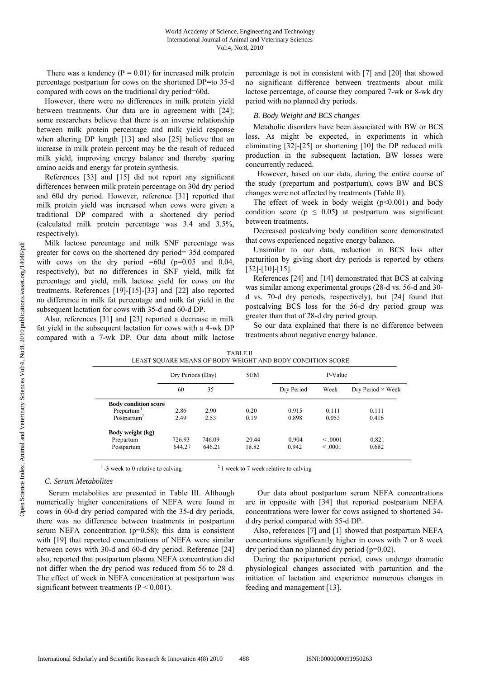There was a tendency ( $P = 0.01$ ) for increased milk protein percentage postpartum for cows on the shortened DP=to 35-d compared with cows on the traditional dry period=60d.

However, there were no differences in milk protein yield between treatments. Our data are in agreement with [24]; some researchers believe that there is an inverse relationship between milk protein percentage and milk yield response when altering DP length [13] and also [25] believe that an increase in milk protein percent may be the result of reduced milk yield, improving energy balance and thereby sparing amino acids and energy for protein synthesis.

References [33] and [15] did not report any significant differences between milk protein percentage on 30d dry period and 60d dry period. However, reference [31] reported that milk protein yield was increased when cows were given a traditional DP compared with a shortened dry period (calculated milk protein percentage was 3.4 and 3.5%, respectively).

Milk lactose percentage and milk SNF percentage was greater for cows on the shortened dry period= 35d compared with cows on the dry period  $=60d$  (p $=0.05$  and 0.04, respectively), but no differences in SNF yield, milk fat percentage and yield, milk lactose yield for cows on the treatments. References [19]-[15]-[33] and [22] also reported no difference in milk fat percentage and milk fat yield in the subsequent lactation for cows with 35-d and 60-d DP.

Also, references [31] and [23] reported a decrease in milk fat yield in the subsequent lactation for cows with a 4-wk DP compared with a 7-wk DP. Our data about milk lactose percentage is not in consistent with [7] and [20] that showed no significant difference between treatments about milk lactose percentage, of course they compared 7-wk or 8-wk dry period with no planned dry periods.

## *B. Body Weight and BCS changes*

Metabolic disorders have been associated with BW or BCS loss. As might be expected, in experiments in which eliminating [32]-[25] or shortening [10] the DP reduced milk production in the subsequent lactation, BW losses were concurrently reduced.

 However, based on our data, during the entire course of the study (prepartum and postpartum), cows BW and BCS changes were not affected by treatments (Table II).

The effect of week in body weight  $(p<0.001)$  and body condition score ( $p \leq 0.05$ ) at postpartum was significant between treatments**.** 

Decreased postcalving body condition score demonstrated that cows experienced negative energy balance**.** 

Unsimilar to our data, reduction in BCS loss after parturition by giving short dry periods is reported by others [32]-[10]-[15].

References [24] and [14] demonstrated that BCS at calving was similar among experimental groups (28-d vs. 56-d and 30 d vs. 70-d dry periods, respectively), but [24] found that postcalving BCS loss for the 56-d dry period group was greater than that of 28-d dry period group.

So our data explained that there is no difference between treatments about negative energy balance.

|                             | Dry Periods (Day) |        | <b>SEM</b> | P-Value    |         |                          |
|-----------------------------|-------------------|--------|------------|------------|---------|--------------------------|
|                             | 60                | 35     |            | Dry Period | Week    | Dry Period $\times$ Week |
| <b>Body condition score</b> |                   |        |            |            |         |                          |
| Prepartum <sup>1</sup>      | 2.86              | 2.90   | 0.20       | 0.915      | 0.111   | 0.111                    |
| Postpartum <sup>2</sup>     | 2.49              | 2.53   | 0.19       | 0.898      | 0.053   | 0.416                    |
| Body weight (kg)            |                   |        |            |            |         |                          |
| Prepartum                   | 726.93            | 746.09 | 20.44      | 0.904      | < 0.001 | 0.821                    |
| Postpartum                  | 644.27            | 646.21 | 18.82      | 0.942      | < 0.001 | 0.682                    |

TABLE II LEAST SQUARE MEANS OF BODY WEIGHT AND BODY CONDITION SCORE

 $1 - 3$  week to 0 relative to calving  $21$  week to 7 week relative to calving

## *C. Serum Metabolites*

 Serum metabolites are presented in Table III. Although numerically higher concentrations of NEFA were found in cows in 60-d dry period compared with the 35-d dry periods, there was no difference between treatments in postpartum serum NEFA concentration (p=0.58); this data is consistent with [19] that reported concentrations of NEFA were similar between cows with 30-d and 60-d dry period. Reference [24] also, reported that postpartum plasma NEFA concentration did not differ when the dry period was reduced from 56 to 28 d. The effect of week in NEFA concentration at postpartum was significant between treatments ( $P < 0.001$ ).

 Our data about postpartum serum NEFA concentrations are in opposite with [34] that reported postpartum NEFA concentrations were lower for cows assigned to shortened 34 d dry period compared with 55-d DP.

Also, references [7] and [1] showed that postpartum NEFA concentrations significantly higher in cows with 7 or 8 week dry period than no planned dry period (p=0.02).

During the periparturient period, cows undergo dramatic physiological changes associated with parturition and the initiation of lactation and experience numerous changes in feeding and management [13].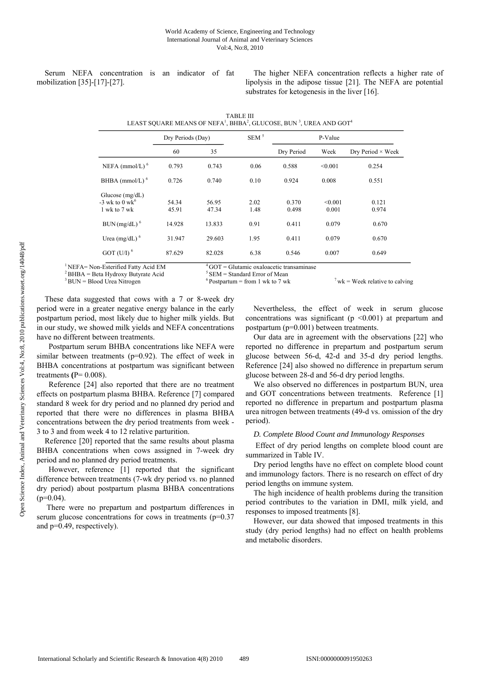Serum NEFA concentration is an indicator of fat mobilization [35]-[17]-[27].

The higher NEFA concentration reflects a higher rate of lipolysis in the adipose tissue [21]. The NEFA are potential substrates for ketogenesis in the liver [16].

|                                                                   | Dry Periods (Day) |                | $SEM^5$      | P-Value        |                  |                          |
|-------------------------------------------------------------------|-------------------|----------------|--------------|----------------|------------------|--------------------------|
|                                                                   | 60                | 35             |              | Dry Period     | Week             | Dry Period $\times$ Week |
| NEFA (mmol/L) $6$                                                 | 0.793             | 0.743          | 0.06         | 0.588          | < 0.001          | 0.254                    |
| BHBA (mmol/L) $6$                                                 | 0.726             | 0.740          | 0.10         | 0.924          | 0.008            | 0.551                    |
| Glucose $(mg/dL)$<br>$-3$ wk to 0 wk <sup>6</sup><br>1 wk to 7 wk | 54.34<br>45.91    | 56.95<br>47.34 | 2.02<br>1.48 | 0.370<br>0.498 | < 0.001<br>0.001 | 0.121<br>0.974           |
| $BUN (mg/dL)$ <sup>6</sup>                                        | 14.928            | 13.833         | 0.91         | 0.411          | 0.079            | 0.670                    |
| Urea (mg/dL) $6$                                                  | 31.947            | 29.603         | 1.95         | 0.411          | 0.079            | 0.670                    |
| GOT (U/I) $^{6}$                                                  | 87.629            | 82.028         | 6.38         | 0.546          | 0.007            | 0.649                    |

| TABLE III                                                                                                           |
|---------------------------------------------------------------------------------------------------------------------|
| LEAST SQUARE MEANS OF NEFA <sup>1</sup> , BHBA <sup>2</sup> , GLUCOSE, BUN <sup>3</sup> , UREA AND GOT <sup>4</sup> |

<sup>1</sup>NEFA= Non-Esterified Fatty Acid EM<br>
<sup>2</sup>BHBA = Beta Hydroxy Butyrate Acid<br>
<sup>3</sup>BUN = Blood Urea Nitrogen<br>
<sup>3</sup>BUN = Blood Urea Nitrogen<br>
<sup>4</sup>BUN = Blood Urea Nitrogen<br>
<sup>6</sup>Postpartum = from 1 wk to 7 wk<br>
<sup>7</sup> wk = Week relat

These data suggested that cows with a 7 or 8-week dry period were in a greater negative energy balance in the early postpartum period, most likely due to higher milk yields. But in our study, we showed milk yields and NEFA concentrations have no different between treatments.

 Postpartum serum BHBA concentrations like NEFA were similar between treatments ( $p=0.92$ ). The effect of week in BHBA concentrations at postpartum was significant between treatments **(**P= 0.008).

 Reference [24] also reported that there are no treatment effects on postpartum plasma BHBA. Reference [7] compared standard 8 week for dry period and no planned dry period and reported that there were no differences in plasma BHBA concentrations between the dry period treatments from week - 3 to 3 and from week 4 to 12 relative parturition.

Reference [20] reported that the same results about plasma BHBA concentrations when cows assigned in 7-week dry period and no planned dry period treatments.

 However, reference [1] reported that the significant difference between treatments (7-wk dry period vs. no planned dry period) about postpartum plasma BHBA concentrations  $(p=0.04)$ .

 There were no prepartum and postpartum differences in serum glucose concentrations for cows in treatments (p=0.37) and p=0.49, respectively).

Nevertheless, the effect of week in serum glucose concentrations was significant ( $p \le 0.001$ ) at prepartum and postpartum (p=0.001) between treatments.

Our data are in agreement with the observations [22] who reported no difference in prepartum and postpartum serum glucose between 56-d, 42-d and 35-d dry period lengths. Reference [24] also showed no difference in prepartum serum glucose between 28-d and 56-d dry period lengths.

We also observed no differences in postpartum BUN, urea and GOT concentrations between treatments. Reference [1] reported no difference in prepartum and postpartum plasma urea nitrogen between treatments (49-d vs. omission of the dry period).

## *D. Complete Blood Count and Immunology Responses*

Effect of dry period lengths on complete blood count are summarized in Table IV.

Dry period lengths have no effect on complete blood count and immunology factors. There is no research on effect of dry period lengths on immune system.

The high incidence of health problems during the transition period contributes to the variation in DMI, milk yield, and responses to imposed treatments [8].

However, our data showed that imposed treatments in this study (dry period lengths) had no effect on health problems and metabolic disorders.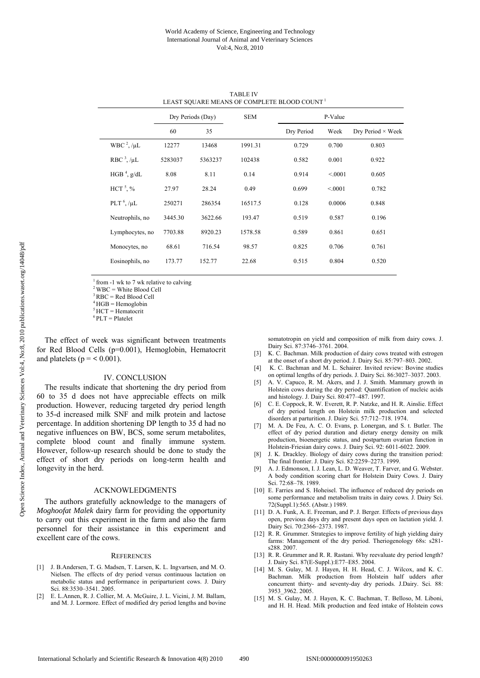|                         | Dry Periods (Day) |         | <b>SEM</b> | P-Value    |        |                          |
|-------------------------|-------------------|---------|------------|------------|--------|--------------------------|
|                         | 60                | 35      |            | Dry Period | Week   | Dry Period $\times$ Week |
| WBC $^{2}$ , / $\mu$ L  | 12277             | 13468   | 1991.31    | 0.729      | 0.700  | 0.803                    |
| RBC $3$ , / $\mu$ L     | 5283037           | 5363237 | 102438     | 0.582      | 0.001  | 0.922                    |
| HGB <sup>4</sup> , g/dL | 8.08              | 8.11    | 0.14       | 0.914      | < 0001 | 0.605                    |
| HCT <sup>5</sup> , %    | 27.97             | 28.24   | 0.49       | 0.699      | < 0001 | 0.782                    |
| PLT $6$ , / $\mu$ L     | 250271            | 286354  | 16517.5    | 0.128      | 0.0006 | 0.848                    |
| Neutrophils, no         | 3445.30           | 3622.66 | 193.47     | 0.519      | 0.587  | 0.196                    |
| Lymphocytes, no         | 7703.88           | 8920.23 | 1578.58    | 0.589      | 0.861  | 0.651                    |
| Monocytes, no           | 68.61             | 716.54  | 98.57      | 0.825      | 0.706  | 0.761                    |
| Eosinophils, no         | 173.77            | 152.77  | 22.68      | 0.515      | 0.804  | 0.520                    |
|                         |                   |         |            |            |        |                          |

TABLE IV LEAST SQUARE MEANS OF COMPLETE BLOOD COUNT<sup>1</sup>

 $1$  from -1 wk to 7 wk relative to calving

 $2$  WBC = White Blood Cell

 $3 RBC = Red Blood Cell$ 

 $4$  HGB = Hemoglobin

 $<sup>5</sup>$  HCT = Hematocrit</sup>

 $6$  PLT = Platelet

The effect of week was significant between treatments for Red Blood Cells (p=0.001), Hemoglobin, Hematocrit and platelets ( $p = < 0.001$ ).

## IV. CONCLUSION

The results indicate that shortening the dry period from 60 to 35 d does not have appreciable effects on milk production. However, reducing targeted dry period length to 35-d increased milk SNF and milk protein and lactose percentage. In addition shortening DP length to 35 d had no negative influences on BW, BCS, some serum metabolites, complete blood count and finally immune system. However, follow-up research should be done to study the effect of short dry periods on long-term health and longevity in the herd.

#### ACKNOWLEDGMENTS

The authors gratefully acknowledge to the managers of *Moghoofat Malek* dairy farm for providing the opportunity to carry out this experiment in the farm and also the farm personnel for their assistance in this experiment and excellent care of the cows.

#### **REFERENCES**

- [1] J. B.Andersen, T. G. Madsen, T. Larsen, K. L. Ingvartsen, and M. O. Nielsen. The effects of dry period versus continuous lactation on metabolic status and performance in periparturient cows. J. Dairy Sci. 88:3530–3541. 2005.
- [2] E. L.Annen, R. J. Collier, M. A. McGuire, J. L. Vicini, J. M. Ballam, and M. J. Lormore. Effect of modified dry period lengths and bovine

somatotropin on yield and composition of milk from dairy cows. J. Dairy Sci. 87:3746–3761. 2004.

- [3] K. C. Bachman. Milk production of dairy cows treated with estrogen at the onset of a short dry period. J. Dairy Sci. 85:797–803. 2002.
- [4] K. C. Bachman and M. L. Schairer. Invited review: Bovine studies on optimal lengths of dry periods. J. Dairy Sci. 86:3027–3037. 2003.
- [5] A. V. Capuco, R. M. Akers, and J. J. Smith. Mammary growth in Holstein cows during the dry period: Quantification of nucleic acids and histology. J. Dairy Sci. 80:477–487. 1997.
- [6] C. E. Coppock, R. W. Everett, R. P. Natzke, and H. R. Ainslie. Effect of dry period length on Holstein milk production and selected disorders at parturition. J. Dairy Sci. 57:712–718. 1974.
- [7] M. A. De Feu, A. C. O. Evans, p. Lonergan, and S. t. Butler. The effect of dry period duration and dietary energy density on milk production, bioenergetic status, and postpartum ovarian function in Holstein-Friesian dairy cows. J. Dairy Sci. 92: 6011-6022. 2009.
- [8] J. K. Drackley. Biology of dairy cows during the transition period: The final frontier. J. Dairy Sci. 82:2259–2273. 1999.
- [9] A. J. Edmonson, I. J. Lean, L. D. Weaver, T. Farver, and G. Webster. A body condition scoring chart for Holstein Dairy Cows. J. Dairy Sci. 72:68–78. 1989.
- [10] E. Farries and S. Hoheisel. The influence of reduced dry periods on some performance and metabolism traits in dairy cows. J. Dairy Sci. 72(Suppl.1):565. (Abstr.) 1989.
- [11] D. A. Funk, A. E. Freeman, and P. J. Berger. Effects of previous days open, previous days dry and present days open on lactation yield. J. Dairy Sci. 70:2366-2373. 1987.
- [12] R. R. Grummer. Strategies to improve fertility of high yielding dairy farms: Management of the dry period. Theriogenology 68s: s281 s288. 2007.
- [13] R. R. Grummer and R. R. Rastani. Why reevaluate dry period length? J. Dairy Sci. 87(E-Suppl.):E77–E85. 2004.
- [14] M. S. Gulay, M. J. Hayen, H. H. Head, C. J. Wilcox, and K. C. Bachman. Milk production from Holstein half udders after concurrent thirty- and seventy-day dry periods. J.Dairy. Sci. 88: 3953\_3962. 2005.
- [15] M. S. Gulay, M. J. Hayen, K. C. Bachman, T. Belloso, M. Liboni, and H. H. Head. Milk production and feed intake of Holstein cows